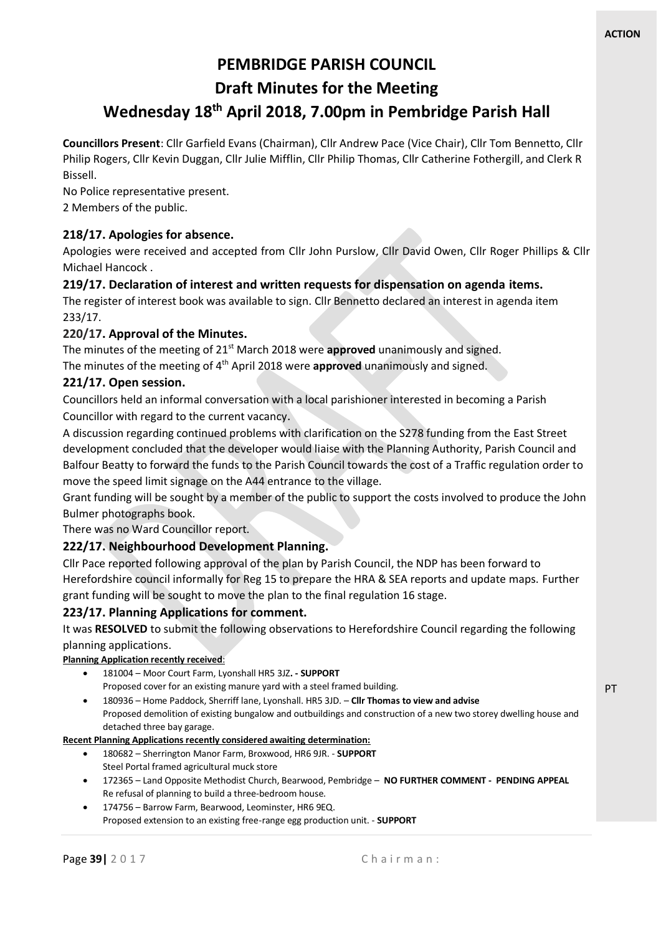PT

# **PEMBRIDGE PARISH COUNCIL**

# **Draft Minutes for the Meeting**

# **Wednesday 18th April 2018, 7.00pm in Pembridge Parish Hall**

**Councillors Present**: Cllr Garfield Evans (Chairman), Cllr Andrew Pace (Vice Chair), Cllr Tom Bennetto, Cllr Philip Rogers, Cllr Kevin Duggan, Cllr Julie Mifflin, Cllr Philip Thomas, Cllr Catherine Fothergill, and Clerk R Bissell.

No Police representative present. 2 Members of the public.

# **218/17. Apologies for absence.**

Apologies were received and accepted from Cllr John Purslow, Cllr David Owen, Cllr Roger Phillips & Cllr Michael Hancock .

### **219/17. Declaration of interest and written requests for dispensation on agenda items.**

The register of interest book was available to sign. Cllr Bennetto declared an interest in agenda item 233/17.

### **220/17. Approval of the Minutes.**

The minutes of the meeting of 21st March 2018 were **approved** unanimously and signed. The minutes of the meeting of 4<sup>th</sup> April 2018 were **approved** unanimously and signed.

### **221/17. Open session.**

Councillors held an informal conversation with a local parishioner interested in becoming a Parish

Councillor with regard to the current vacancy.

A discussion regarding continued problems with clarification on the S278 funding from the East Street development concluded that the developer would liaise with the Planning Authority, Parish Council and Balfour Beatty to forward the funds to the Parish Council towards the cost of a Traffic regulation order to move the speed limit signage on the A44 entrance to the village.

Grant funding will be sought by a member of the public to support the costs involved to produce the John Bulmer photographs book.

There was no Ward Councillor report.

#### **222/17. Neighbourhood Development Planning.**

Cllr Pace reported following approval of the plan by Parish Council, the NDP has been forward to Herefordshire council informally for Reg 15 to prepare the HRA & SEA reports and update maps. Further grant funding will be sought to move the plan to the final regulation 16 stage.

# **223/17. Planning Applications for comment.**

It was **RESOLVED** to submit the following observations to Herefordshire Council regarding the following planning applications.

#### **Planning Application recently received**:

- 181004 Moor Court Farm, Lyonshall HR5 3JZ**. - SUPPORT** Proposed cover for an existing manure yard with a steel framed building.
- 180936 Home Paddock, Sherriff lane, Lyonshall. HR5 3JD. **Cllr Thomas to view and advise** Proposed demolition of existing bungalow and outbuildings and construction of a new two storey dwelling house and detached three bay garage.

#### **Recent Planning Applications recently considered awaiting determination:**

- 180682 Sherrington Manor Farm, Broxwood, HR6 9JR. **SUPPORT** Steel Portal framed agricultural muck store
- 172365 Land Opposite Methodist Church, Bearwood, Pembridge **NO FURTHER COMMENT PENDING APPEAL** Re refusal of planning to build a three-bedroom house.
- 174756 Barrow Farm, Bearwood, Leominster, HR6 9EQ. Proposed extension to an existing free-range egg production unit. - **SUPPORT**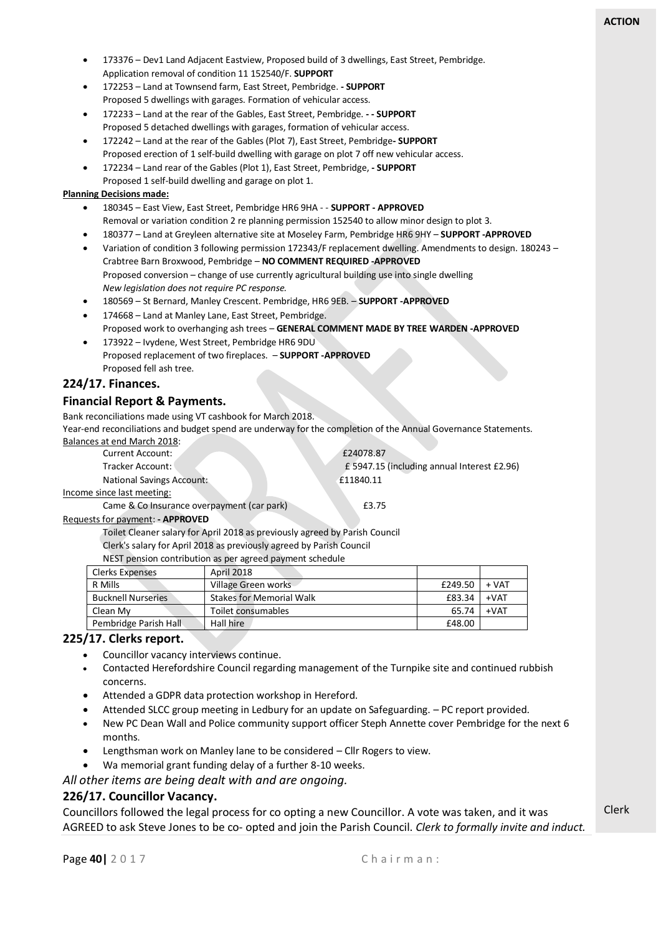- 173376 Dev1 Land Adjacent Eastview, Proposed build of 3 dwellings, East Street, Pembridge. Application removal of condition 11 152540/F. **SUPPORT**
- 172253 Land at Townsend farm, East Street, Pembridge. **- SUPPORT** Proposed 5 dwellings with garages. Formation of vehicular access.
- 172233 Land at the rear of the Gables, East Street, Pembridge. **- - SUPPORT** Proposed 5 detached dwellings with garages, formation of vehicular access.
- 172242 Land at the rear of the Gables (Plot 7), East Street, Pembridge**- SUPPORT** Proposed erection of 1 self-build dwelling with garage on plot 7 off new vehicular access.
- 172234 Land rear of the Gables (Plot 1), East Street, Pembridge, **- SUPPORT** Proposed 1 self-build dwelling and garage on plot 1.

#### **Planning Decisions made:**

- 180345 East View, East Street, Pembridge HR6 9HA - **SUPPORT - APPROVED** Removal or variation condition 2 re planning permission 152540 to allow minor design to plot 3.
- 180377 Land at Greyleen alternative site at Moseley Farm, Pembridge HR6 9HY **SUPPORT -APPROVED**
- Variation of condition 3 following permission 172343/F replacement dwelling. Amendments to design. 180243 Crabtree Barn Broxwood, Pembridge – **NO COMMENT REQUIRED -APPROVED** Proposed conversion – change of use currently agricultural building use into single dwelling *New legislation does not require PC response.*
- 180569 St Bernard, Manley Crescent. Pembridge, HR6 9EB. **SUPPORT -APPROVED**
- 174668 Land at Manley Lane, East Street, Pembridge. Proposed work to overhanging ash trees – **GENERAL COMMENT MADE BY TREE WARDEN -APPROVED**
- 173922 Ivydene, West Street, Pembridge HR6 9DU Proposed replacement of two fireplaces. – **SUPPORT -APPROVED** Proposed fell ash tree.

#### **224/17. Finances.**

#### **Financial Report & Payments.**

Bank reconciliations made using VT cashbook for March 2018.

Year-end reconciliations and budget spend are underway for the completion of the Annual Governance Statements. Balances at end March 2018:

| Current Account:                 | £24078.87                                   |
|----------------------------------|---------------------------------------------|
| Tracker Account: \               | £ 5947.15 (including annual Interest £2.96) |
| <b>National Savings Account:</b> | £11840.11                                   |
| Income since last meeting:       |                                             |

Came & Co Insurance overpayment (car park) 63.75

#### Requests for payment: **- APPROVED**

Toilet Cleaner salary for April 2018 as previously agreed by Parish Council Clerk's salary for April 2018 as previously agreed by Parish Council

#### NEST pension contribution as per agreed payment schedule

| <b>Clerks Expenses</b>    | April 2018                      |         |        |
|---------------------------|---------------------------------|---------|--------|
| R Mills                   | Village Green works             | £249.50 | + VAT  |
| <b>Bucknell Nurseries</b> | <b>Stakes for Memorial Walk</b> | £83.34  | $+VAT$ |
| Clean My                  | Toilet consumables              | 65.74   | $+VAT$ |
| Pembridge Parish Hall     | Hall hire                       | £48.00  |        |
|                           |                                 |         |        |

#### **225/17. Clerks report.**

- Councillor vacancy interviews continue.
- Contacted Herefordshire Council regarding management of the Turnpike site and continued rubbish concerns.
- Attended a GDPR data protection workshop in Hereford.
- Attended SLCC group meeting in Ledbury for an update on Safeguarding. PC report provided.
- New PC Dean Wall and Police community support officer Steph Annette cover Pembridge for the next 6 months.
- Lengthsman work on Manley lane to be considered Cllr Rogers to view.
- Wa memorial grant funding delay of a further 8-10 weeks.

*All other items are being dealt with and are ongoing.*

#### **226/17. Councillor Vacancy.**

Councillors followed the legal process for co opting a new Councillor. A vote was taken, and it was AGREED to ask Steve Jones to be co- opted and join the Parish Council. *Clerk to formally invite and induct.*

Clerk